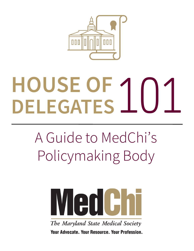

# **HOUSE OF DELEGATES**101

# A Guide to MedChi's Policymaking Body



The Maryland State Medical Society **Your Advocate, Your Resource, Your Profession.**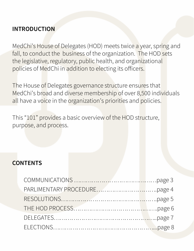#### **INTRODUCTION**

MedChi's House of Delegates (HOD) meets twice a year, spring and fall, to conduct the business of the organization. The HOD sets the legislative, regulatory, public health, and organizational policies of MedChi in addition to electing its officers.

The House of Delegates governance structure ensures that MedChi's broad and diverse membership of over 8,500 individuals all have a voice in the organization's priorities and policies.

This "101" provides a basic overview of the HOD structure, purpose, and process.

#### **CONTENTS**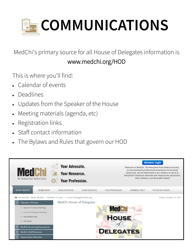

MedChi's primary source for all House of Delegates information is www.medchi.org/HOD

This is where you'll find:

- Calendar of events
- **Deadlines**
- Updates from the Speaker of the House
- Meeting materials (agenda, etc)
- Registration links
- Staff contact information
- The Bylaws and Rules that govern our HOD

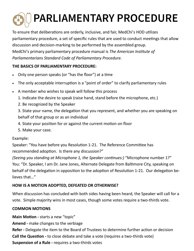# **PARLIAMENTARY PROCEDURE**

To ensure that deliberations are orderly, inclusive, and fair, MedChi's HOD utilizes parliamentary procedure, a set of specific rules that are used to conduct meetings that allow discussion and decision-marking to be performed by the assembled group. MedChi's primary parliamentary procedure manual is *The American Institute of Parliamentarians Standard Code of Parliamentary Procedure.* 

#### **THE BASICS OF PARLIAMENTARY PROCEDURE:**

- Only one person speaks (or "has the floor") at a time
- The only acceptable interruption is a "point of order" to clarify parliamentary rules
- A member who wishes to speak will follow this process
	- 1. Indicate the desire to speak (raise hand, stand before the microphone, etc.)
	- 2. Be recognized by the Speaker

3. State your name, the delegation that you represent, and whether you are speaking on behalf of that group or as an individual

- 4. State your position for or against the current motion on floor
- 5. Make your case.

#### Example:

Speaker: "You have before you Resolution 1-21. The Reference Committee has recommended adoption. Is there any discussion?"

*(Seeing you standing at Microphone 1, the Speaker continues:)* "Microphone number 1?" You: "Dr. Speaker, I am Dr. Jane Jones, Alternate Delegate from Baltimore City, speaking on behalf of the delegation in opposition to the adoption of Resolution 1-21. Our delegation believes that…"

#### **HOW IS A MOTION ADOPTED, DEFEATED OR OTHERWISE?**

When discussion has concluded with both sides having been heard, the Speaker will call for a vote. Simple majority wins in most cases, though some votes require a two-thirds vote.

#### **COMMON MOTIONS**

**Main Motion -** starts a new "topic"

**Amend -** make changes to the verbiage

**Refer -** Delegate the item to the Board of Trustees to determine further action or decision **Call the Question -** to close debate and take a vote (requires a two-thirds vote) **Suspension of a Rule -** requires a two-thirds votes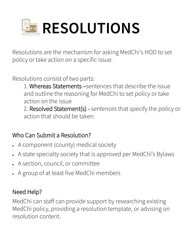

Resolutions are the mechanism for asking MedChi's HOD to set policy or take action on a specific issue.

Resolutions consist of two parts:

1. Whereas Statements –sentences that describe the issue and outline the reasoning for MedChi to set policy or take action on the issue

2. Resolved Statement(s) - sentences that specify the policy or action that should be taken.

## Who Can Submit a Resolution?

- A component (county) medical society
- A state specialty society that is approved per MedChi's Bylaws
- A section, council, or committee
- A group of at least five MedChi members

## Need Help?

MedChi can staff can provide support by researching existing MedChi policy, providing a resolution template, or advising on resolution content.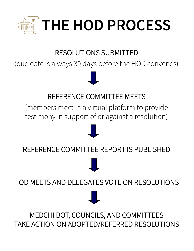

# RESOLUTIONS SUBMITTED

(due date is always 30 days before the HOD convenes)

## REFERENCE COMMITTEE MEETS

(members meet in a virtual platform to provide testimony in support of or against a resolution)



REFERENCE COMMITTEE REPORT IS PUBLISHED



HOD MEETS AND DELEGATES VOTE ON RESOLUTIONS

MEDCHI BOT, COUNCILS, AND COMMITTEES TAKE ACTION ON ADOPTED/REFERRED RESOLUTIONS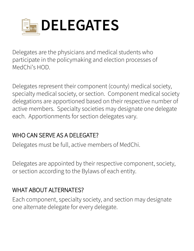

Delegates are the physicians and medical students who participate in the policymaking and election processes of MedChi's HOD.

Delegates represent their component (county) medical society, specialty medical society, or section. Component medical society delegations are apportioned based on their respective number of active members. Specialty societies may designate one delegate each. Apportionments for section delegates vary.

#### WHO CAN SERVE AS A DELEGATE?

Delegates must be full, active members of MedChi.

Delegates are appointed by their respective component, society, or section according to the Bylaws of each entity.

#### WHAT ABOUT ALTERNATES?

Each component, specialty society, and section may designate one alternate delegate for every delegate.